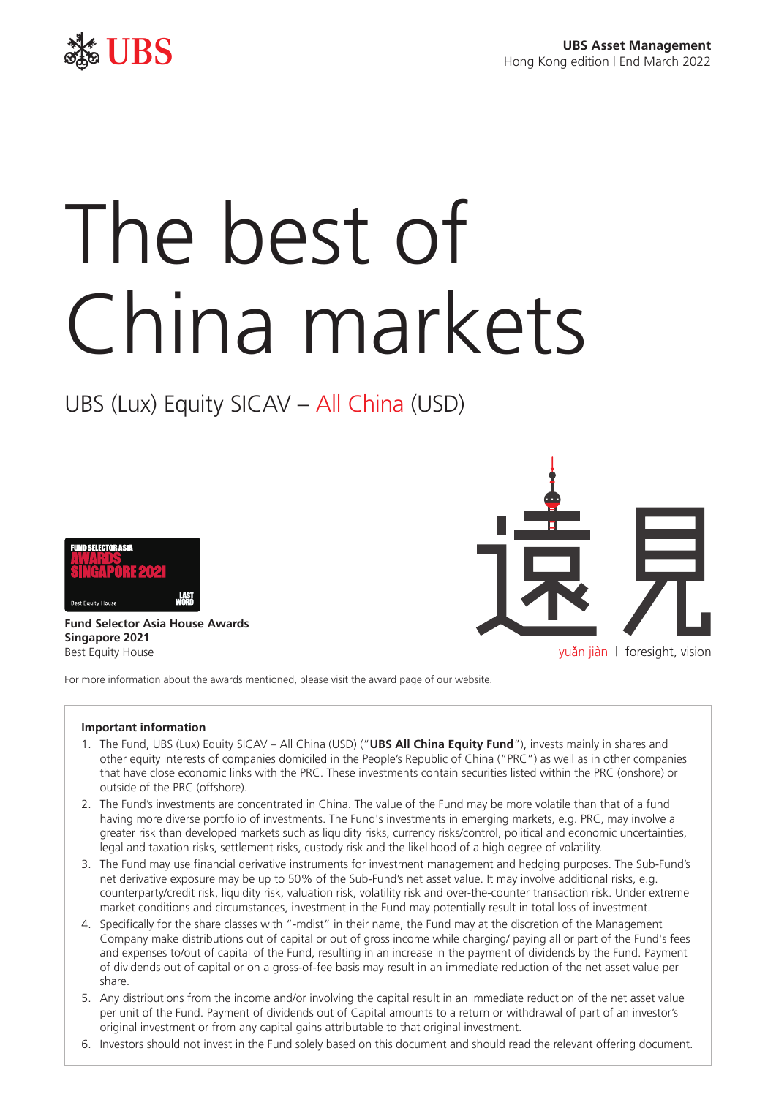

# The best of China markets

# UBS (Lux) Equity SICAV – All China (USD)



yuǎn jiàn | foresight, vision

**Fund Selector Asia House Awards Singapore 2021** Best Equity House

For more information about the awards mentioned, please visit the award page of our website.

#### **Important information**

- 1. The Fund, UBS (Lux) Equity SICAV All China (USD) ("**UBS All China Equity Fund**"), invests mainly in shares and other equity interests of companies domiciled in the People's Republic of China ("PRC") as well as in other companies that have close economic links with the PRC. These investments contain securities listed within the PRC (onshore) or outside of the PRC (offshore).
- 2. The Fund's investments are concentrated in China. The value of the Fund may be more volatile than that of a fund having more diverse portfolio of investments. The Fund's investments in emerging markets, e.g. PRC, may involve a greater risk than developed markets such as liquidity risks, currency risks/control, political and economic uncertainties, legal and taxation risks, settlement risks, custody risk and the likelihood of a high degree of volatility.
- 3. The Fund may use financial derivative instruments for investment management and hedging purposes. The Sub-Fund's net derivative exposure may be up to 50% of the Sub-Fund's net asset value. It may involve additional risks, e.g. counterparty/credit risk, liquidity risk, valuation risk, volatility risk and over-the-counter transaction risk. Under extreme market conditions and circumstances, investment in the Fund may potentially result in total loss of investment.
- 4. Specifically for the share classes with "-mdist" in their name, the Fund may at the discretion of the Management Company make distributions out of capital or out of gross income while charging/ paying all or part of the Fund's fees and expenses to/out of capital of the Fund, resulting in an increase in the payment of dividends by the Fund. Payment of dividends out of capital or on a gross-of-fee basis may result in an immediate reduction of the net asset value per share.
- 5. Any distributions from the income and/or involving the capital result in an immediate reduction of the net asset value per unit of the Fund. Payment of dividends out of Capital amounts to a return or withdrawal of part of an investor's original investment or from any capital gains attributable to that original investment.
- 6. Investors should not invest in the Fund solely based on this document and should read the relevant offering document.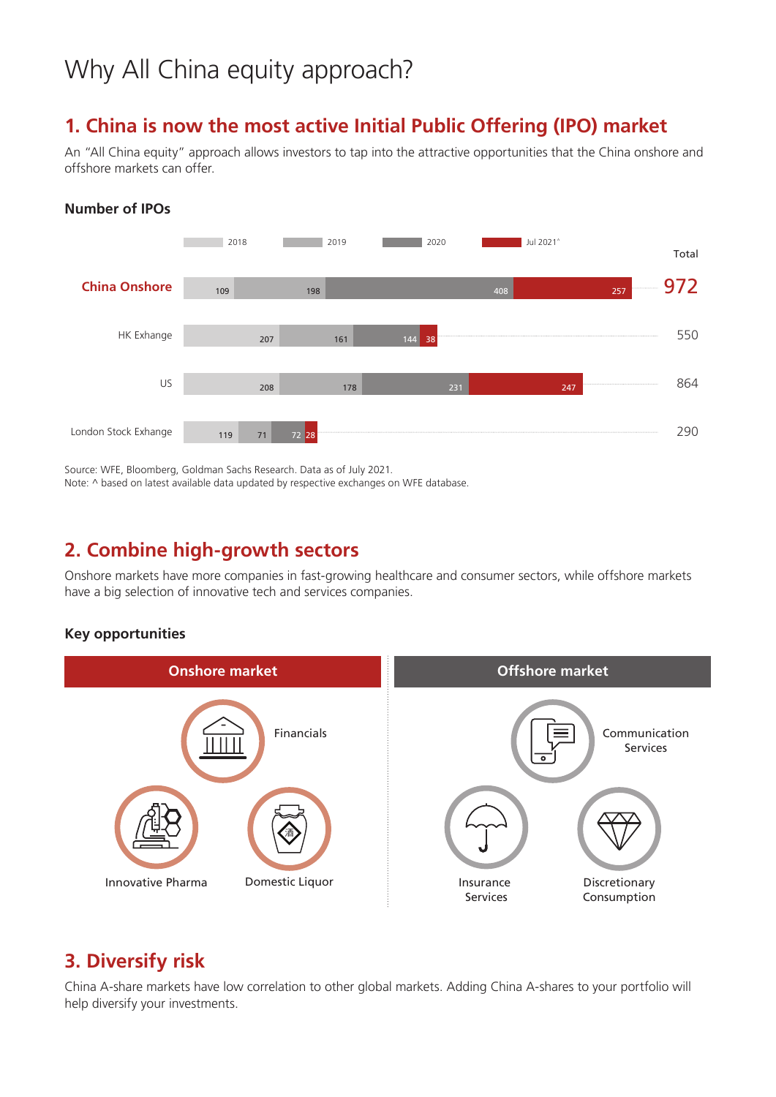# Why All China equity approach?

# **1. China is now the most active Initial Public Offering (IPO) market**

An "All China equity" approach allows investors to tap into the attractive opportunities that the China onshore and offshore markets can offer.



## **Number of IPOs**

Source: WFE, Bloomberg, Goldman Sachs Research. Data as of July 2021.

Note: ^ based on latest available data updated by respective exchanges on WFE database.

# **2. Combine high-growth sectors**

Onshore markets have more companies in fast-growing healthcare and consumer sectors, while offshore markets have a big selection of innovative tech and services companies.

### **Key opportunities**



## **3. Diversify risk**

China A-share markets have low correlation to other global markets. Adding China A-shares to your portfolio will help diversify your investments.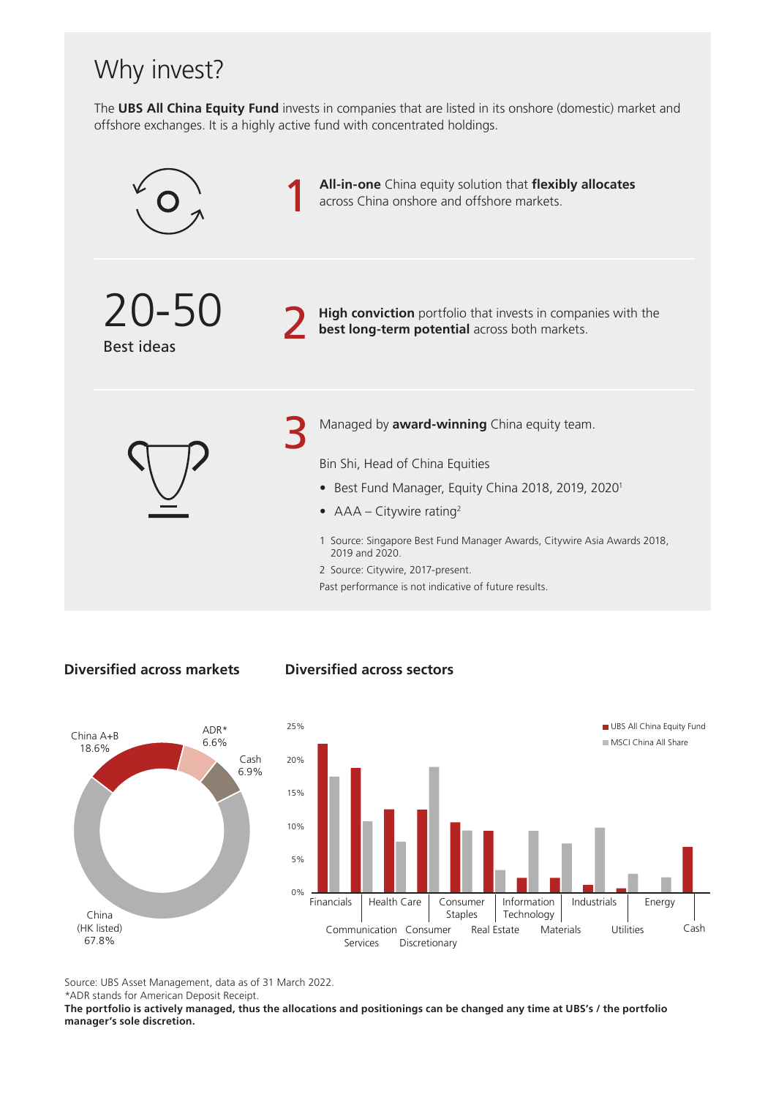# Why invest?

The **UBS All China Equity Fund** invests in companies that are listed in its onshore (domestic) market and offshore exchanges. It is a highly active fund with concentrated holdings.



#### **Diversified across markets Diversified across sectors**



Source: UBS Asset Management, data as of 31 March 2022.

\*ADR stands for American Deposit Receipt.

**The portfolio is actively managed, thus the allocations and positionings can be changed any time at UBS's / the portfolio manager's sole discretion.**